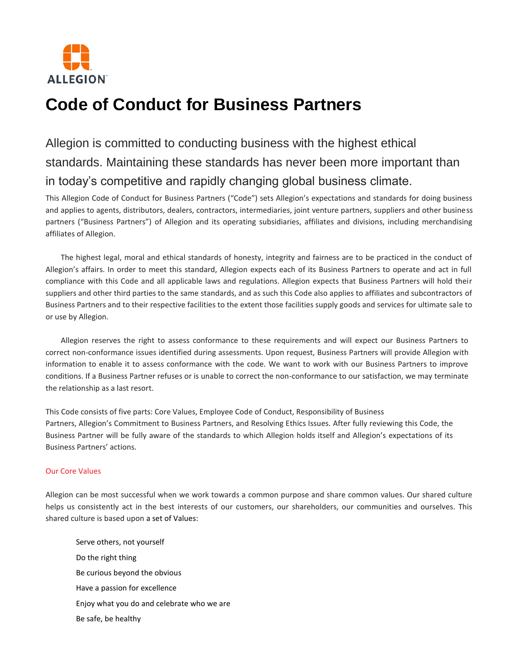

# **Code of Conduct for Business Partners**

# Allegion is committed to conducting business with the highest ethical standards. Maintaining these standards has never been more important than in today's competitive and rapidly changing global business climate.

This Allegion Code of Conduct for Business Partners ("Code") sets Allegion's expectations and standards for doing business and applies to agents, distributors, dealers, contractors, intermediaries, joint venture partners, suppliers and other business partners ("Business Partners") of Allegion and its operating subsidiaries, affiliates and divisions, including merchandising affiliates of Allegion.

The highest legal, moral and ethical standards of honesty, integrity and fairness are to be practiced in the conduct of Allegion's affairs. In order to meet this standard, Allegion expects each of its Business Partners to operate and act in full compliance with this Code and all applicable laws and regulations. Allegion expects that Business Partners will hold their suppliers and other third parties to the same standards, and as such this Code also applies to affiliates and subcontractors of Business Partners and to their respective facilities to the extent those facilities supply goods and services for ultimate sale to or use by Allegion.

Allegion reserves the right to assess conformance to these requirements and will expect our Business Partners to correct non-conformance issues identified during assessments. Upon request, Business Partners will provide Allegion with information to enable it to assess conformance with the code. We want to work with our Business Partners to improve conditions. If a Business Partner refuses or is unable to correct the non-conformance to our satisfaction, we may terminate the relationship as a last resort.

This Code consists of five parts: Core Values, Employee Code of Conduct, Responsibility of Business Partners, Allegion's Commitment to Business Partners, and Resolving Ethics Issues. After fully reviewing this Code, the Business Partner will be fully aware of the standards to which Allegion holds itself and Allegion's expectations of its Business Partners' actions.

# Our Core Values

Allegion can be most successful when we work towards a common purpose and share common values. Our shared culture helps us consistently act in the best interests of our customers, our shareholders, our communities and ourselves. This shared culture is based upon a set of Values:

Serve others, not yourself Do the right thing Be curious beyond the obvious Have a passion for excellence Enjoy what you do and celebrate who we are Be safe, be healthy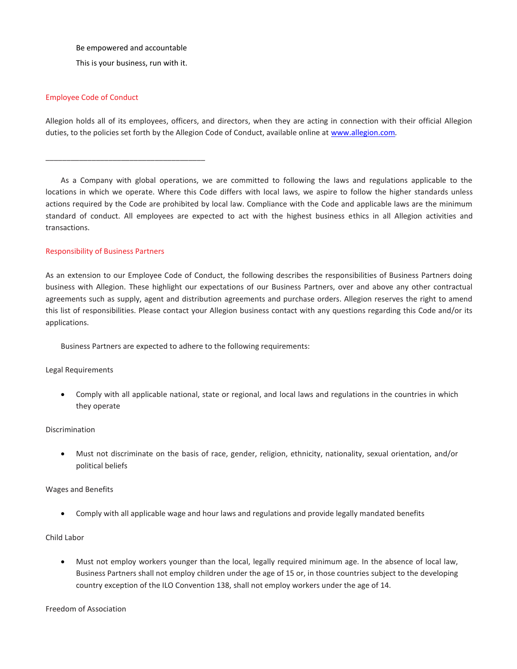Be empowered and accountable

This is your business, run with it.

\_\_\_\_\_\_\_\_\_\_\_\_\_\_\_\_\_\_\_\_\_\_\_\_\_\_\_\_\_\_\_\_\_\_\_\_\_\_

#### Employee Code of Conduct

Allegion holds all of its employees, officers, and directors, when they are acting in connection with their official Allegion duties, to the policies set forth by the Allegion Code of Conduct, available online at [www.allegion.com](http://www.allegion.com/)*.*

As a Company with global operations, we are committed to following the laws and regulations applicable to the locations in which we operate. Where this Code differs with local laws, we aspire to follow the higher standards unless actions required by the Code are prohibited by local law. Compliance with the Code and applicable laws are the minimum standard of conduct. All employees are expected to act with the highest business ethics in all Allegion activities and transactions.

#### Responsibility of Business Partners

As an extension to our Employee Code of Conduct, the following describes the responsibilities of Business Partners doing business with Allegion. These highlight our expectations of our Business Partners, over and above any other contractual agreements such as supply, agent and distribution agreements and purchase orders. Allegion reserves the right to amend this list of responsibilities. Please contact your Allegion business contact with any questions regarding this Code and/or its applications.

Business Partners are expected to adhere to the following requirements:

# Legal Requirements

 Comply with all applicable national, state or regional, and local laws and regulations in the countries in which they operate

### Discrimination

 Must not discriminate on the basis of race, gender, religion, ethnicity, nationality, sexual orientation, and/or political beliefs

#### Wages and Benefits

Comply with all applicable wage and hour laws and regulations and provide legally mandated benefits

# Child Labor

 Must not employ workers younger than the local, legally required minimum age. In the absence of local law, Business Partners shall not employ children under the age of 15 or, in those countries subject to the developing country exception of the ILO Convention 138, shall not employ workers under the age of 14.

Freedom of Association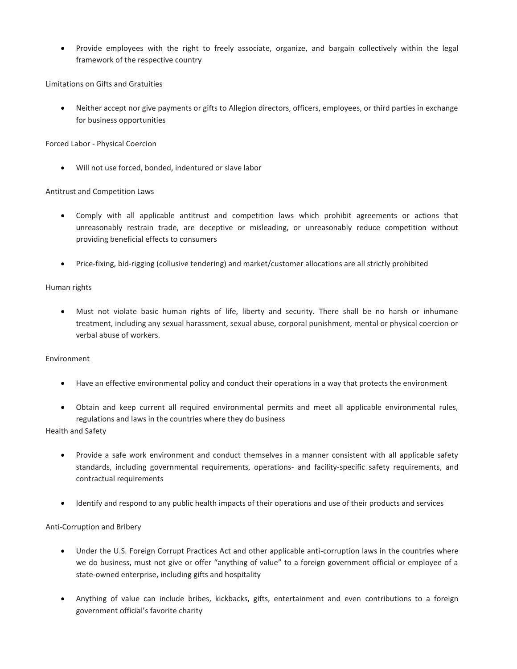Provide employees with the right to freely associate, organize, and bargain collectively within the legal framework of the respective country

Limitations on Gifts and Gratuities

 Neither accept nor give payments or gifts to Allegion directors, officers, employees, or third parties in exchange for business opportunities

Forced Labor - Physical Coercion

Will not use forced, bonded, indentured or slave labor

#### Antitrust and Competition Laws

- Comply with all applicable antitrust and competition laws which prohibit agreements or actions that unreasonably restrain trade, are deceptive or misleading, or unreasonably reduce competition without providing beneficial effects to consumers
- Price-fixing, bid-rigging (collusive tendering) and market/customer allocations are all strictly prohibited

#### Human rights

 Must not violate basic human rights of life, liberty and security. There shall be no harsh or inhumane treatment, including any sexual harassment, sexual abuse, corporal punishment, mental or physical coercion or verbal abuse of workers.

#### Environment

- Have an effective environmental policy and conduct their operations in a way that protects the environment
- Obtain and keep current all required environmental permits and meet all applicable environmental rules, regulations and laws in the countries where they do business

#### Health and Safety

- Provide a safe work environment and conduct themselves in a manner consistent with all applicable safety standards, including governmental requirements, operations- and facility-specific safety requirements, and contractual requirements
- Identify and respond to any public health impacts of their operations and use of their products and services

# Anti-Corruption and Bribery

- Under the U.S. Foreign Corrupt Practices Act and other applicable anti-corruption laws in the countries where we do business, must not give or offer "anything of value" to a foreign government official or employee of a state-owned enterprise, including gifts and hospitality
- Anything of value can include bribes, kickbacks, gifts, entertainment and even contributions to a foreign government official's favorite charity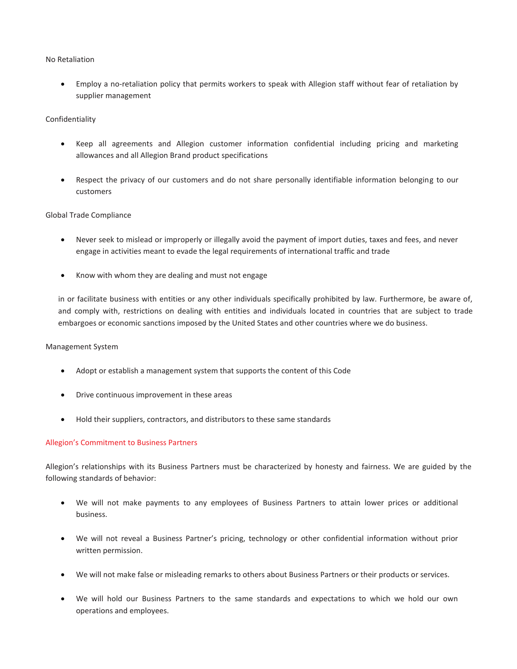#### No Retaliation

 Employ a no-retaliation policy that permits workers to speak with Allegion staff without fear of retaliation by supplier management

# Confidentiality

- Keep all agreements and Allegion customer information confidential including pricing and marketing allowances and all Allegion Brand product specifications
- Respect the privacy of our customers and do not share personally identifiable information belonging to our customers

#### Global Trade Compliance

- Never seek to mislead or improperly or illegally avoid the payment of import duties, taxes and fees, and never engage in activities meant to evade the legal requirements of international traffic and trade
- Know with whom they are dealing and must not engage

in or facilitate business with entities or any other individuals specifically prohibited by law. Furthermore, be aware of, and comply with, restrictions on dealing with entities and individuals located in countries that are subject to trade embargoes or economic sanctions imposed by the United States and other countries where we do business.

#### Management System

- Adopt or establish a management system that supports the content of this Code
- **•** Drive continuous improvement in these areas
- Hold their suppliers, contractors, and distributors to these same standards

# Allegion's Commitment to Business Partners

Allegion's relationships with its Business Partners must be characterized by honesty and fairness. We are guided by the following standards of behavior:

- We will not make payments to any employees of Business Partners to attain lower prices or additional business.
- We will not reveal a Business Partner's pricing, technology or other confidential information without prior written permission.
- We will not make false or misleading remarks to others about Business Partners or their products or services.
- We will hold our Business Partners to the same standards and expectations to which we hold our own operations and employees.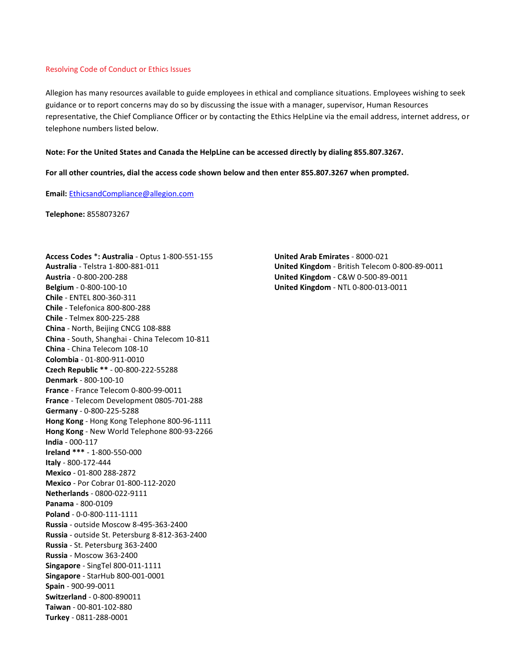#### Resolving Code of Conduct or Ethics Issues

Allegion has many resources available to guide employees in ethical and compliance situations. Employees wishing to seek guidance or to report concerns may do so by discussing the issue with a manager, supervisor, Human Resources representative, the Chief Compliance Officer or by contacting the Ethics HelpLine via the email address, internet address, or telephone numbers listed below.

#### **Note: For the United States and Canada the HelpLine can be accessed directly by dialing 855.807.3267.**

**For all other countries, dial the access code shown below and then enter 855.807.3267 when prompted.**

**Email:** [EthicsandCompliance@allegion.com](mailto:EthicsandCompliance@allegion.com)

**Telephone:** 8558073267

**Access Codes** \***: Australia** - Optus 1-800-551-155 **Australia** - Telstra 1-800-881-011 **Austria** - 0-800-200-288 **Belgium** - 0-800-100-10 **Chile** - ENTEL 800-360-311 **Chile** - Telefonica 800-800-288 **Chile** - Telmex 800-225-288 **China** - North, Beijing CNCG 108-888 **China** - South, Shanghai - China Telecom 10-811 **China** - China Telecom 108-10 **Colombia** - 01-800-911-0010 **Czech Republic \*\*** - 00-800-222-55288 **Denmark** - 800-100-10 **France** - France Telecom 0-800-99-0011 **France** - Telecom Development 0805-701-288 **Germany** - 0-800-225-5288 **Hong Kong** - Hong Kong Telephone 800-96-1111 **Hong Kong** - New World Telephone 800-93-2266 **India** - 000-117 **Ireland \*\*\*** - 1-800-550-000 **Italy** - 800-172-444 **Mexico** - 01-800 288-2872 **Mexico** - Por Cobrar 01-800-112-2020 **Netherlands** - 0800-022-9111 **Panama** - 800-0109 **Poland** - 0-0-800-111-1111 **Russia** - outside Moscow 8-495-363-2400 **Russia** - outside St. Petersburg 8-812-363-2400 **Russia** - St. Petersburg 363-2400 **Russia** - Moscow 363-2400 **Singapore** - SingTel 800-011-1111 **Singapore** - StarHub 800-001-0001 **Spain** - 900-99-0011 **Switzerland** - 0-800-890011 **Taiwan** - 00-801-102-880 **Turkey** - 0811-288-0001

**United Arab Emirates** - 8000-021 **United Kingdom** - British Telecom 0-800-89-0011 **United Kingdom** - C&W 0-500-89-0011 **United Kingdom** - NTL 0-800-013-0011